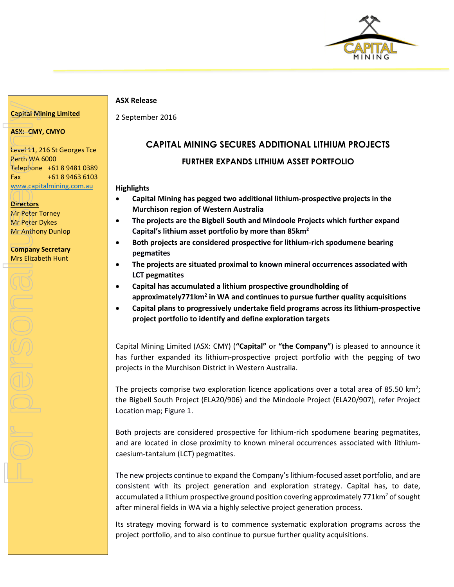

#### **ASX Release**

2 September 2016

## **ASX: CMY, CMYO**

**Capital Mining Limited**

Level 11, 216 St Georges Tce Perth WA 6000 Telephone +61 8 9481 0389 Fax +61 8 9463 6103 [www.capitalmining.com.au](http://www.capitalmining.com.au/) Capital Mining Lim<br>
ASX: CMY, CMYO<br>
Level 11, 216 St Ge<br>
Perth WA 6000<br>
Telephone +61 8 s<br>
WWW.capitalmining<br>
Directors<br>
Mr Peter Torney<br>
Mr Anthony Dunlop<br>
Company Secretar<br>
Mrs Elizabeth Hunt<br>
COD<br>
COD

**Directors** Mr Peter Torney Mr Peter Dykes Mr Anthony Dunlop

#### **Company Secretary Mrs Elizabeth Hunt**

# **CAPITAL MINING SECURES ADDITIONAL LITHIUM PROJECTS**

# **FURTHER EXPANDS LITHIUM ASSET PORTFOLIO**

## **Highlights**

- **Capital Mining has pegged two additional lithium-prospective projects in the Murchison region of Western Australia**
- **The projects are the Bigbell South and Mindoole Projects which further expand Capital's lithium asset portfolio by more than 85km<sup>2</sup>**
- **Both projects are considered prospective for lithium-rich spodumene bearing pegmatites**
- **The projects are situated proximal to known mineral occurrences associated with LCT pegmatites**
- **Capital has accumulated a lithium prospective groundholding of approximately771km<sup>2</sup> in WA and continues to pursue further quality acquisitions**
- **Capital plans to progressively undertake field programs across its lithium-prospective project portfolio to identify and define exploration targets**

Capital Mining Limited (ASX: CMY) (**"Capital"** or **"the Company"**) is pleased to announce it has further expanded its lithium-prospective project portfolio with the pegging of two projects in the Murchison District in Western Australia.

The projects comprise two exploration licence applications over a total area of 85.50  $km^2$ ; the Bigbell South Project (ELA20/906) and the Mindoole Project (ELA20/907), refer Project Location map; Figure 1.

Both projects are considered prospective for lithium-rich spodumene bearing pegmatites, and are located in close proximity to known mineral occurrences associated with lithiumcaesium-tantalum (LCT) pegmatites.

The new projects continue to expand the Company's lithium-focused asset portfolio, and are consistent with its project generation and exploration strategy. Capital has, to date, accumulated a lithium prospective ground position covering approximately 771km<sup>2</sup> of sought after mineral fields in WA via a highly selective project generation process.

Its strategy moving forward is to commence systematic exploration programs across the project portfolio, and to also continue to pursue further quality acquisitions.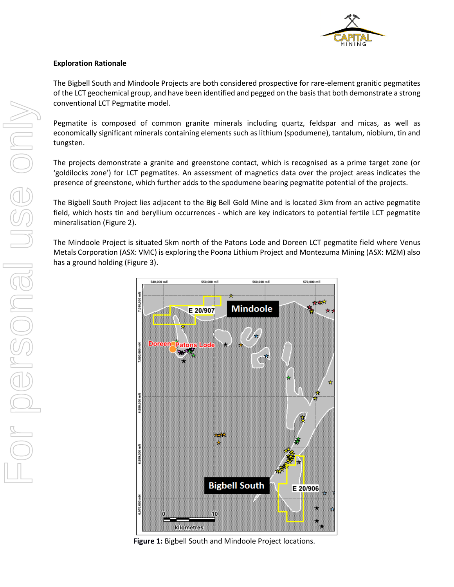

## **Exploration Rationale**

The Bigbell South and Mindoole Projects are both considered prospective for rare-element granitic pegmatites of the LCT geochemical group, and have been identified and pegged on the basis that both demonstrate a strong conventional LCT Pegmatite model.

Pegmatite is composed of common granite minerals including quartz, feldspar and micas, as well as economically significant minerals containing elements such as lithium (spodumene), tantalum, niobium, tin and tungsten.

The projects demonstrate a granite and greenstone contact, which is recognised as a prime target zone (or 'goldilocks zone') for LCT pegmatites. An assessment of magnetics data over the project areas indicates the presence of greenstone, which further adds to the spodumene bearing pegmatite potential of the projects.

The Bigbell South Project lies adjacent to the Big Bell Gold Mine and is located 3km from an active pegmatite field, which hosts tin and beryllium occurrences - which are key indicators to potential fertile LCT pegmatite mineralisation (Figure 2).

The Mindoole Project is situated 5km north of the Patons Lode and Doreen LCT pegmatite field where Venus Metals Corporation (ASX: VMC) is exploring the Poona Lithium Project and Montezuma Mining (ASX: MZM) also has a ground holding (Figure 3).



**Figure 1:** Bigbell South and Mindoole Project locations.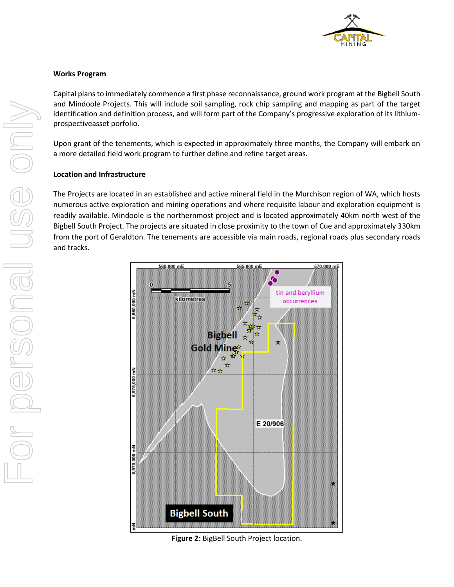

#### **Works Program**

Capital plans to immediately commence a first phase reconnaissance, ground work program at the Bigbell South and Mindoole Projects. This will include soil sampling, rock chip sampling and mapping as part of the target identification and definition process, and will form part of the Company's progressive exploration of its lithiumprospectiveasset porfolio.

Upon grant of the tenements, which is expected in approximately three months, the Company will embark on a more detailed field work program to further define and refine target areas.

#### **Location and Infrastructure**

The Projects are located in an established and active mineral field in the Murchison region of WA, which hosts numerous active exploration and mining operations and where requisite labour and exploration equipment is readily available. Mindoole is the northernmost project and is located approximately 40km north west of the Bigbell South Project. The projects are situated in close proximity to the town of Cue and approximately 330km from the port of Geraldton. The tenements are accessible via main roads, regional roads plus secondary roads and tracks.



**Figure 2**: BigBell South Project location.